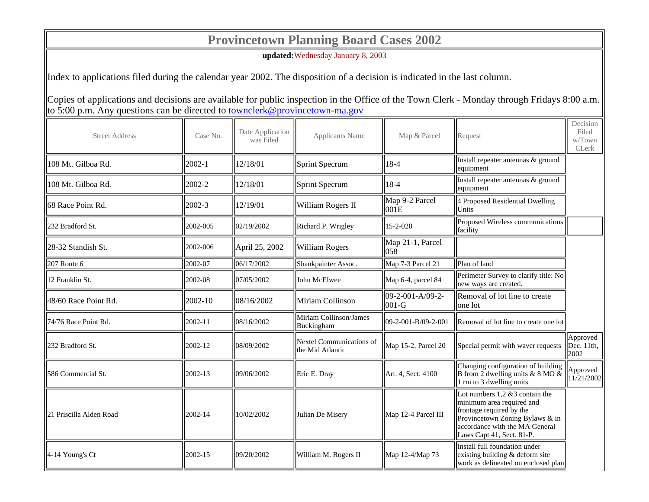## **Provincetown Planning Board Cases 2002**

**updated:**Wednesday January 8, 2003

Index to applications filed during the calendar year 2002. The disposition of a decision is indicated in the last column.

Copies of applications and decisions are available for public inspection in the Office of the Town Clerk - Monday through Fridays 8:00 a.m.  $\|$ to 5:00 p.m. Any questions can be directed to <u>townclerk@provincetown-ma.gov</u>

| <b>Street Address</b>   | Case No. | Date Application<br>was Filed | Applicants Name                              | Map & Parcel                | Request                                                                                                                                                                                       | Decision<br>Filed<br>w/Town<br>CLerk               |
|-------------------------|----------|-------------------------------|----------------------------------------------|-----------------------------|-----------------------------------------------------------------------------------------------------------------------------------------------------------------------------------------------|----------------------------------------------------|
| 108 Mt. Gilboa Rd.      | 2002-1   | 12/18/01                      | Sprint Specrum                               | 18-4                        | Install repeater antennas & ground<br>equipment                                                                                                                                               |                                                    |
| 108 Mt. Gilboa Rd.      | 2002-2   | 12/18/01                      | Sprint Specrum                               | 18-4                        | Install repeater antennas & ground<br>equipment                                                                                                                                               |                                                    |
| 68 Race Point Rd.       | 2002-3   | 12/19/01                      | William Rogers II                            | Map 9-2 Parcel<br>001E      | 4 Proposed Residential Dwelling<br>Units                                                                                                                                                      |                                                    |
| 232 Bradford St.        | 2002-005 | 102/19/2002                   | Richard P. Wrigley                           | 15-2-020                    | Proposed Wireless communications<br>facility                                                                                                                                                  |                                                    |
| 28-32 Standish St.      | 2002-006 | April 25, 2002                | William Rogers                               | Map 21-1, Parcel<br>058     |                                                                                                                                                                                               |                                                    |
| 207 Route 6             | 2002-07  | 06/17/2002                    | Shankpainter Assoc.                          | Map 7-3 Parcel 21           | Plan of land                                                                                                                                                                                  |                                                    |
| 12 Franklin St.         | 2002-08  | 107/05/2002                   | John McElwee                                 | Map 6-4, parcel 84          | Perimeter Survey to clarify title: No<br>new ways are created.                                                                                                                                |                                                    |
| 48/60 Race Point Rd.    | 2002-10  | 108/16/2002                   | Miriam Collinson                             | 09-2-001-A/09-2-<br>$001-G$ | Removal of lot line to create<br>one lot                                                                                                                                                      |                                                    |
| 74/76 Race Point Rd.    | 2002-11  | 08/16/2002                    | Miriam Collinson/James<br>Buckingham         | 09-2-001-B/09-2-001         | Removal of lot line to create one lot                                                                                                                                                         |                                                    |
| 232 Bradford St.        | 2002-12  | 08/09/2002                    | Nextel Communications of<br>the Mid Atlantic | Map 15-2, Parcel 20         | Special permit with waver requests                                                                                                                                                            | Approved<br>$\overline{\text{Dec.}}$ 11th,<br>2002 |
| 586 Commercial St.      | 2002-13  | 09/06/2002                    | Eric E. Dray                                 | Art. 4, Sect. 4100          | Changing configuration of building<br>$\vert$ B from 2 dwelling units & 8 MO &<br>1 rm to 3 dwelling units                                                                                    | Approved<br>11/21/2002                             |
| 21 Priscilla Alden Road | 2002-14  | 10/02/2002                    | Julian De Misery                             | Map 12-4 Parcel III         | Lot numbers $1,2 \& 3$ contain the<br>minimum area required and<br>frontage required by the<br>Provincetown Zoning Bylaws & in<br>accordance with the MA General<br>Laws Capt 41, Sect. 81-P. |                                                    |
| 4-14 Young's Ct         | 2002-15  | 09/20/2002                    | William M. Rogers II                         | Map 12-4/Map 73             | Install full foundation under<br>existing building & deform site<br>work as delineated on enclosed plan                                                                                       |                                                    |